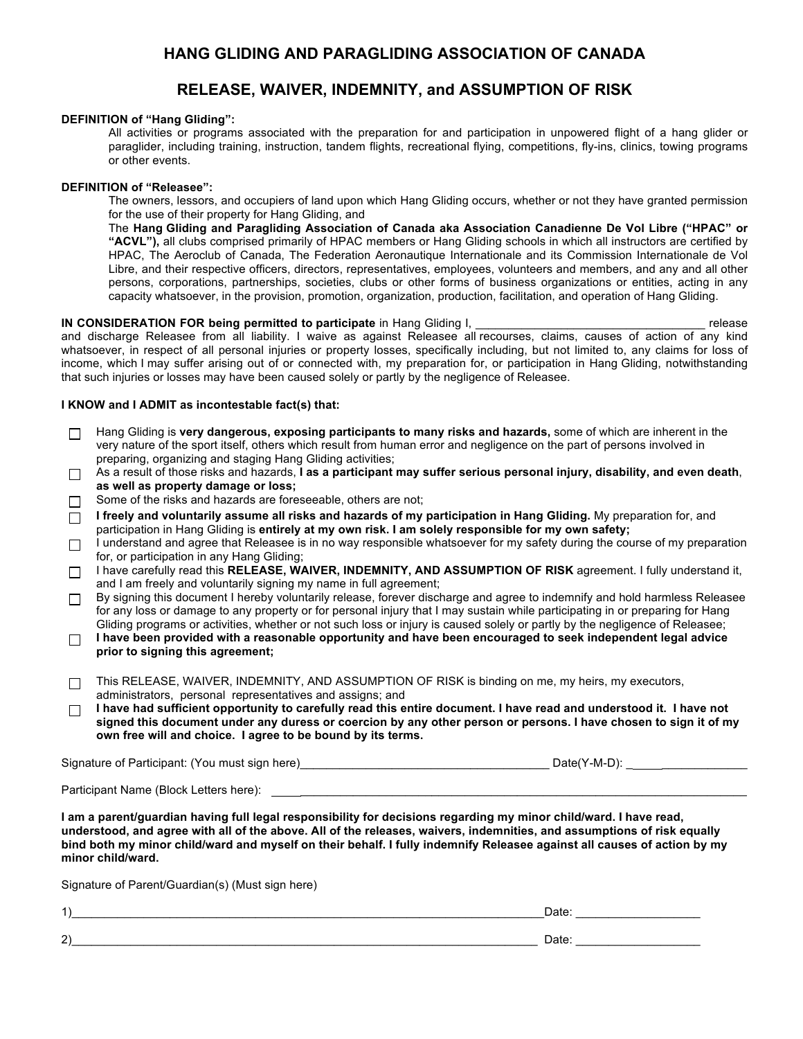# **HANG GLIDING AND PARAGLIDING ASSOCIATION OF CANADA**

## **RELEASE, WAIVER, INDEMNITY, and ASSUMPTION OF RISK**

### **DEFINITION of "Hang Gliding":**

All activities or programs associated with the preparation for and participation in unpowered flight of a hang glider or paraglider, including training, instruction, tandem flights, recreational flying, competitions, fly-ins, clinics, towing programs or other events.

#### **DEFINITION of "Releasee":**

The owners, lessors, and occupiers of land upon which Hang Gliding occurs, whether or not they have granted permission for the use of their property for Hang Gliding, and

The **Hang Gliding and Paragliding Association of Canada aka Association Canadienne De Vol Libre ("HPAC" or "ACVL"),** all clubs comprised primarily of HPAC members or Hang Gliding schools in which all instructors are certified by HPAC, The Aeroclub of Canada, The Federation Aeronautique Internationale and its Commission Internationale de Vol Libre, and their respective officers, directors, representatives, employees, volunteers and members, and any and all other persons, corporations, partnerships, societies, clubs or other forms of business organizations or entities, acting in any capacity whatsoever, in the provision, promotion, organization, production, facilitation, and operation of Hang Gliding.

#### **IN CONSIDERATION FOR being permitted to participate** in Hang Gliding I, **Let up a set of the set of the set of the set of the set of the set of the set of the set of the set of the set of the set of the set of the set of**

and discharge Releasee from all liability. I waive as against Releasee all recourses, claims, causes of action of any kind whatsoever, in respect of all personal injuries or property losses, specifically including, but not limited to, any claims for loss of income, which I may suffer arising out of or connected with, my preparation for, or participation in Hang Gliding, notwithstanding that such injuries or losses may have been caused solely or partly by the negligence of Releasee.

#### **I KNOW and I ADMIT as incontestable fact(s) that:**

| П                                                                                                                                                                                                                                                                                                                                                                                            | Hang Gliding is very dangerous, exposing participants to many risks and hazards, some of which are inherent in the<br>very nature of the sport itself, others which result from human error and negligence on the part of persons involved in<br>preparing, organizing and staging Hang Gliding activities;                                                                                                                                                       |  |  |  |
|----------------------------------------------------------------------------------------------------------------------------------------------------------------------------------------------------------------------------------------------------------------------------------------------------------------------------------------------------------------------------------------------|-------------------------------------------------------------------------------------------------------------------------------------------------------------------------------------------------------------------------------------------------------------------------------------------------------------------------------------------------------------------------------------------------------------------------------------------------------------------|--|--|--|
| П                                                                                                                                                                                                                                                                                                                                                                                            | As a result of those risks and hazards, I as a participant may suffer serious personal injury, disability, and even death,<br>as well as property damage or loss;<br>Some of the risks and hazards are foreseeable, others are not;<br>I freely and voluntarily assume all risks and hazards of my participation in Hang Gliding. My preparation for, and<br>participation in Hang Gliding is entirely at my own risk. I am solely responsible for my own safety; |  |  |  |
| П                                                                                                                                                                                                                                                                                                                                                                                            |                                                                                                                                                                                                                                                                                                                                                                                                                                                                   |  |  |  |
| П                                                                                                                                                                                                                                                                                                                                                                                            |                                                                                                                                                                                                                                                                                                                                                                                                                                                                   |  |  |  |
| □                                                                                                                                                                                                                                                                                                                                                                                            | I understand and agree that Releasee is in no way responsible whatsoever for my safety during the course of my preparation                                                                                                                                                                                                                                                                                                                                        |  |  |  |
| □                                                                                                                                                                                                                                                                                                                                                                                            | for, or participation in any Hang Gliding;<br>I have carefully read this RELEASE, WAIVER, INDEMNITY, AND ASSUMPTION OF RISK agreement. I fully understand it,<br>and I am freely and voluntarily signing my name in full agreement;                                                                                                                                                                                                                               |  |  |  |
| □                                                                                                                                                                                                                                                                                                                                                                                            | By signing this document I hereby voluntarily release, forever discharge and agree to indemnify and hold harmless Releasee<br>for any loss or damage to any property or for personal injury that I may sustain while participating in or preparing for Hang                                                                                                                                                                                                       |  |  |  |
| $\Box$                                                                                                                                                                                                                                                                                                                                                                                       | Gliding programs or activities, whether or not such loss or injury is caused solely or partly by the negligence of Releasee;<br>I have been provided with a reasonable opportunity and have been encouraged to seek independent legal advice<br>prior to signing this agreement;                                                                                                                                                                                  |  |  |  |
| □                                                                                                                                                                                                                                                                                                                                                                                            | This RELEASE, WAIVER, INDEMNITY, AND ASSUMPTION OF RISK is binding on me, my heirs, my executors,<br>administrators, personal representatives and assigns; and                                                                                                                                                                                                                                                                                                    |  |  |  |
| П                                                                                                                                                                                                                                                                                                                                                                                            | I have had sufficient opportunity to carefully read this entire document. I have read and understood it. I have not<br>signed this document under any duress or coercion by any other person or persons. I have chosen to sign it of my<br>own free will and choice. I agree to be bound by its terms.                                                                                                                                                            |  |  |  |
|                                                                                                                                                                                                                                                                                                                                                                                              |                                                                                                                                                                                                                                                                                                                                                                                                                                                                   |  |  |  |
| Participant Name (Block Letters here): Name of the state of the state of the state of the state of the state o                                                                                                                                                                                                                                                                               |                                                                                                                                                                                                                                                                                                                                                                                                                                                                   |  |  |  |
| I am a parent/guardian having full legal responsibility for decisions regarding my minor child/ward. I have read,<br>understood, and agree with all of the above. All of the releases, waivers, indemnities, and assumptions of risk equally<br>bind both my minor child/ward and myself on their behalf. I fully indemnify Releasee against all causes of action by my<br>minor child/ward. |                                                                                                                                                                                                                                                                                                                                                                                                                                                                   |  |  |  |
| Signature of Parent/Guardian(s) (Must sign here)                                                                                                                                                                                                                                                                                                                                             |                                                                                                                                                                                                                                                                                                                                                                                                                                                                   |  |  |  |
| 1)                                                                                                                                                                                                                                                                                                                                                                                           | Date:                                                                                                                                                                                                                                                                                                                                                                                                                                                             |  |  |  |

 $2)$  Date:  $\_$